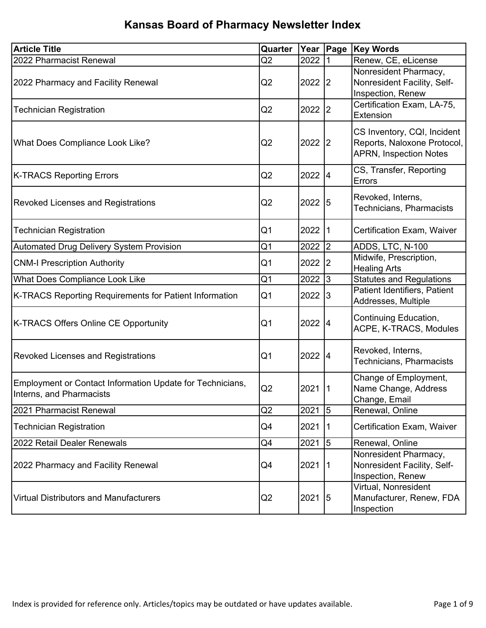| <b>Article Title</b>                                                                  | Quarter        |           | Year Page    | <b>Key Words</b>                                                                            |
|---------------------------------------------------------------------------------------|----------------|-----------|--------------|---------------------------------------------------------------------------------------------|
| 2022 Pharmacist Renewal                                                               | Q2             | 2022      |              | Renew, CE, eLicense                                                                         |
| 2022 Pharmacy and Facility Renewal                                                    | Q <sub>2</sub> | 2022 2    |              | Nonresident Pharmacy,<br>Nonresident Facility, Self-<br>Inspection, Renew                   |
| <b>Technician Registration</b>                                                        | Q2             | 2022      | 2            | Certification Exam, LA-75,<br>Extension                                                     |
| What Does Compliance Look Like?                                                       | Q2             | 2022 2    |              | CS Inventory, CQI, Incident<br>Reports, Naloxone Protocol,<br><b>APRN, Inspection Notes</b> |
| <b>K-TRACS Reporting Errors</b>                                                       | Q2             | 2022 4    |              | CS, Transfer, Reporting<br>Errors                                                           |
| <b>Revoked Licenses and Registrations</b>                                             | Q <sub>2</sub> | 2022 5    |              | Revoked, Interns,<br>Technicians, Pharmacists                                               |
| <b>Technician Registration</b>                                                        | Q <sub>1</sub> | 2022      | $\mathsf{I}$ | <b>Certification Exam, Waiver</b>                                                           |
| <b>Automated Drug Delivery System Provision</b>                                       | Q <sub>1</sub> | 2022      | 2            | ADDS, LTC, N-100                                                                            |
| <b>CNM-I Prescription Authority</b>                                                   | Q <sub>1</sub> | 2022      | 2            | Midwife, Prescription,<br><b>Healing Arts</b>                                               |
| <b>What Does Compliance Look Like</b>                                                 | Q1             | 2022      | 3            | <b>Statutes and Regulations</b>                                                             |
| K-TRACS Reporting Requirements for Patient Information                                | Q <sub>1</sub> | 2022      | 13           | Patient Identifiers, Patient<br>Addresses, Multiple                                         |
| <b>K-TRACS Offers Online CE Opportunity</b>                                           | Q <sub>1</sub> | 2022 4    |              | Continuing Education,<br>ACPE, K-TRACS, Modules                                             |
| <b>Revoked Licenses and Registrations</b>                                             | Q <sub>1</sub> | $2022$ 4  |              | Revoked, Interns,<br><b>Technicians, Pharmacists</b>                                        |
| Employment or Contact Information Update for Technicians,<br>Interns, and Pharmacists | Q2             | $2021$  1 |              | Change of Employment,<br>Name Change, Address<br>Change, Email                              |
| 2021 Pharmacist Renewal                                                               | Q <sub>2</sub> | 2021      | $\sqrt{5}$   | Renewal, Online                                                                             |
| <b>Technician Registration</b>                                                        | Q4             | 2021      | $\vert$ 1    | Certification Exam, Waiver                                                                  |
| 2022 Retail Dealer Renewals                                                           | Q4             | 2021      | 5            | Renewal, Online                                                                             |
| 2022 Pharmacy and Facility Renewal                                                    | Q4             | $2021$  1 |              | Nonresident Pharmacy,<br>Nonresident Facility, Self-<br>Inspection, Renew                   |
| <b>Virtual Distributors and Manufacturers</b>                                         | Q <sub>2</sub> | $2021$ 5  |              | Virtual, Nonresident<br>Manufacturer, Renew, FDA<br>Inspection                              |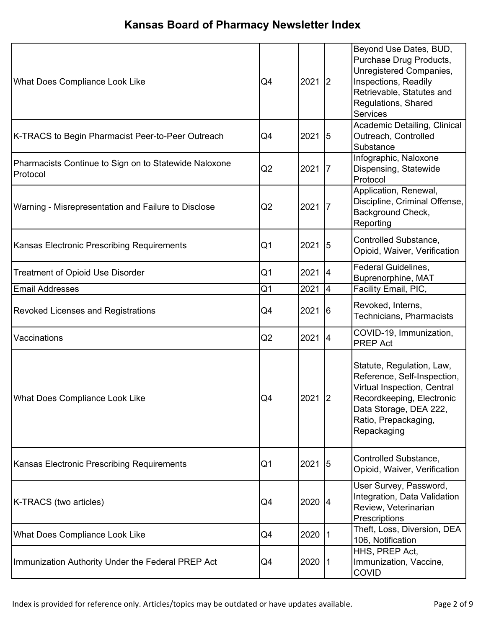| <b>What Does Compliance Look Like</b>                             | Q4             | 2021   | 2              | Beyond Use Dates, BUD,<br>Purchase Drug Products,<br>Unregistered Companies,<br>Inspections, Readily<br>Retrievable, Statutes and<br>Regulations, Shared<br><b>Services</b>           |
|-------------------------------------------------------------------|----------------|--------|----------------|---------------------------------------------------------------------------------------------------------------------------------------------------------------------------------------|
| K-TRACS to Begin Pharmacist Peer-to-Peer Outreach                 | Q <sub>4</sub> | 2021 5 |                | Academic Detailing, Clinical<br>Outreach, Controlled<br>Substance                                                                                                                     |
| Pharmacists Continue to Sign on to Statewide Naloxone<br>Protocol | Q2             | 2021   | 7              | Infographic, Naloxone<br>Dispensing, Statewide<br>Protocol                                                                                                                            |
| Warning - Misrepresentation and Failure to Disclose               | Q2             | 2021   | 7              | Application, Renewal,<br>Discipline, Criminal Offense,<br>Background Check,<br>Reporting                                                                                              |
| Kansas Electronic Prescribing Requirements                        | Q <sub>1</sub> | 2021 5 |                | Controlled Substance,<br>Opioid, Waiver, Verification                                                                                                                                 |
| <b>Treatment of Opioid Use Disorder</b>                           | Q <sub>1</sub> | 2021   | 4              | <b>Federal Guidelines,</b><br>Buprenorphine, MAT                                                                                                                                      |
| <b>Email Addresses</b>                                            | Q <sub>1</sub> | 2021   | I4             | Facility Email, PIC,                                                                                                                                                                  |
| <b>Revoked Licenses and Registrations</b>                         | Q4             | 2021   | $\overline{6}$ | Revoked, Interns,<br>Technicians, Pharmacists                                                                                                                                         |
| Vaccinations                                                      | Q2             | 2021   | 4              | COVID-19, Immunization,<br><b>PREP Act</b>                                                                                                                                            |
| What Does Compliance Look Like                                    | Q4             | 2021 2 |                | Statute, Regulation, Law,<br>Reference, Self-Inspection,<br>Virtual Inspection, Central<br>Recordkeeping, Electronic<br>Data Storage, DEA 222,<br>Ratio, Prepackaging,<br>Repackaging |
| Kansas Electronic Prescribing Requirements                        | Q1             | 2021   | $\sqrt{5}$     | Controlled Substance,<br>Opioid, Waiver, Verification                                                                                                                                 |
| K-TRACS (two articles)                                            | Q4             | 2020 4 |                | User Survey, Password,<br>Integration, Data Validation<br>Review, Veterinarian<br>Prescriptions                                                                                       |
| What Does Compliance Look Like                                    | Q4             | 2020   |                | Theft, Loss, Diversion, DEA<br>106, Notification                                                                                                                                      |
| Immunization Authority Under the Federal PREP Act                 | Q4             | 2020   | 1              | HHS, PREP Act,<br>Immunization, Vaccine,<br><b>COVID</b>                                                                                                                              |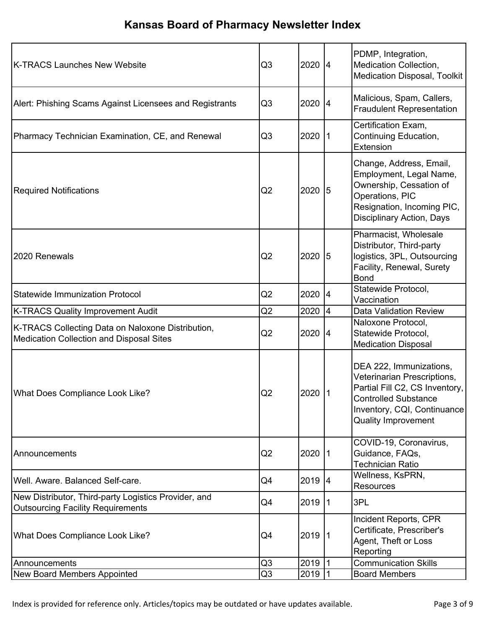| K-TRACS Launches New Website                                                                         | Q <sub>3</sub> | 2020 4    |            | PDMP, Integration,<br>Medication Collection,<br><b>Medication Disposal, Toolkit</b>                                                                                                  |
|------------------------------------------------------------------------------------------------------|----------------|-----------|------------|--------------------------------------------------------------------------------------------------------------------------------------------------------------------------------------|
| Alert: Phishing Scams Against Licensees and Registrants                                              | Q <sub>3</sub> | 2020 4    |            | Malicious, Spam, Callers,<br><b>Fraudulent Representation</b>                                                                                                                        |
| Pharmacy Technician Examination, CE, and Renewal                                                     | Q <sub>3</sub> | 2020      | 1          | Certification Exam,<br>Continuing Education,<br>Extension                                                                                                                            |
| <b>Required Notifications</b>                                                                        | Q <sub>2</sub> | 2020      | $\sqrt{5}$ | Change, Address, Email,<br>Employment, Legal Name,<br>Ownership, Cessation of<br>Operations, PIC<br>Resignation, Incoming PIC,<br><b>Disciplinary Action, Days</b>                   |
| 2020 Renewals                                                                                        | Q <sub>2</sub> | 2020 5    |            | Pharmacist, Wholesale<br>Distributor, Third-party<br>logistics, 3PL, Outsourcing<br>Facility, Renewal, Surety<br><b>Bond</b>                                                         |
| <b>Statewide Immunization Protocol</b>                                                               | Q <sub>2</sub> | 2020 4    |            | Statewide Protocol,<br>Vaccination                                                                                                                                                   |
| <b>K-TRACS Quality Improvement Audit</b>                                                             | Q <sub>2</sub> | 2020      | 14         | <b>Data Validation Review</b>                                                                                                                                                        |
| K-TRACS Collecting Data on Naloxone Distribution,<br><b>Medication Collection and Disposal Sites</b> | Q <sub>2</sub> | 2020 4    |            | Naloxone Protocol,<br>Statewide Protocol,<br><b>Medication Disposal</b>                                                                                                              |
| <b>What Does Compliance Look Like?</b>                                                               | Q2             | 2020      |            | DEA 222, Immunizations,<br>Veterinarian Prescriptions,<br>Partial Fill C2, CS Inventory,<br><b>Controlled Substance</b><br>Inventory, CQI, Continuance<br><b>Quality Improvement</b> |
| Announcements                                                                                        | Q <sub>2</sub> | 2020 1    |            | COVID-19, Coronavirus,<br>Guidance, FAQs,<br><b>Technician Ratio</b>                                                                                                                 |
| Well. Aware. Balanced Self-care.                                                                     | Q4             | 2019 4    |            | Wellness, KsPRN,<br><b>Resources</b>                                                                                                                                                 |
| New Distributor, Third-party Logistics Provider, and<br><b>Outsourcing Facility Requirements</b>     | Q4             | 2019      | 1          | 3PL                                                                                                                                                                                  |
| <b>What Does Compliance Look Like?</b>                                                               | Q4             | $2019$  1 |            | Incident Reports, CPR<br>Certificate, Prescriber's<br>Agent, Theft or Loss<br>Reporting                                                                                              |
| Announcements                                                                                        | Q <sub>3</sub> | 2019 1    |            | <b>Communication Skills</b>                                                                                                                                                          |
| <b>New Board Members Appointed</b>                                                                   | Q <sub>3</sub> | 2019      |            | <b>Board Members</b>                                                                                                                                                                 |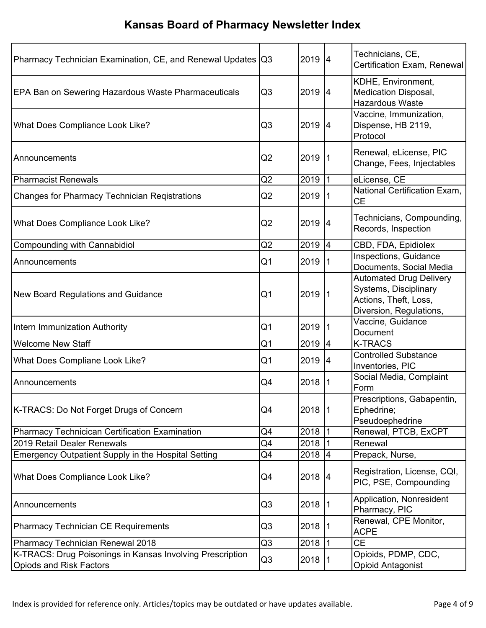| Pharmacy Technician Examination, CE, and Renewal Updates   Q3                               |                | 2019 4   |                 | Technicians, CE,<br>Certification Exam, Renewal                                                             |
|---------------------------------------------------------------------------------------------|----------------|----------|-----------------|-------------------------------------------------------------------------------------------------------------|
| <b>EPA Ban on Sewering Hazardous Waste Pharmaceuticals</b>                                  | Q <sub>3</sub> | 2019 4   |                 | KDHE, Environment,<br>Medication Disposal,<br><b>Hazardous Waste</b>                                        |
| What Does Compliance Look Like?                                                             | Q3             | 2019 4   |                 | Vaccine, Immunization,<br>Dispense, HB 2119,<br>Protocol                                                    |
| Announcements                                                                               | Q <sub>2</sub> | $2019$ 1 |                 | Renewal, eLicense, PIC<br>Change, Fees, Injectables                                                         |
| <b>Pharmacist Renewals</b>                                                                  | Q <sub>2</sub> | 2019     | l1              | eLicense, CE                                                                                                |
| <b>Changes for Pharmacy Technician Registrations</b>                                        | Q2             | 2019   1 |                 | National Certification Exam,<br><b>CE</b>                                                                   |
| What Does Compliance Look Like?                                                             | Q <sub>2</sub> | 2019 4   |                 | Technicians, Compounding,<br>Records, Inspection                                                            |
| <b>Compounding with Cannabidiol</b>                                                         | Q <sub>2</sub> | 2019 4   |                 | CBD, FDA, Epidiolex                                                                                         |
| Announcements                                                                               | Q <sub>1</sub> | 2019   1 |                 | Inspections, Guidance<br>Documents, Social Media                                                            |
| <b>New Board Regulations and Guidance</b>                                                   | Q <sub>1</sub> | 2019   1 |                 | <b>Automated Drug Delivery</b><br>Systems, Disciplinary<br>Actions, Theft, Loss,<br>Diversion, Regulations, |
| Intern Immunization Authority                                                               | Q <sub>1</sub> | 2019     | $\overline{11}$ | Vaccine, Guidance<br>Document                                                                               |
| <b>Welcome New Staff</b>                                                                    | Q1             | 2019 4   |                 | <b>K-TRACS</b>                                                                                              |
| What Does Compliane Look Like?                                                              | Q <sub>1</sub> | $2019$ 4 |                 | <b>Controlled Substance</b><br>Inventories, PIC                                                             |
| Announcements                                                                               | Q4             | 2018  1  |                 | Social Media, Complaint<br>Form                                                                             |
| K-TRACS: Do Not Forget Drugs of Concern                                                     | Q4             | 2018  1  |                 | Prescriptions, Gabapentin,<br>Ephedrine;<br>Pseudoephedrine                                                 |
| Pharmacy Technicican Certification Examination                                              | Q4             | 2018  1  |                 | Renewal, PTCB, ExCPT                                                                                        |
| 2019 Retail Dealer Renewals                                                                 | Q4             | 2018     |                 | Renewal                                                                                                     |
| <b>Emergency Outpatient Supply in the Hospital Setting</b>                                  | Q4             | 2018     | 4               | Prepack, Nurse,                                                                                             |
| What Does Compliance Look Like?                                                             | Q4             | 2018 4   |                 | Registration, License, CQI,<br>PIC, PSE, Compounding                                                        |
| Announcements                                                                               | Q3             | 2018 1   |                 | Application, Nonresident<br>Pharmacy, PIC                                                                   |
| <b>Pharmacy Technician CE Requirements</b>                                                  | Q <sub>3</sub> | 2018     |                 | Renewal, CPE Monitor,<br><b>ACPE</b>                                                                        |
| Pharmacy Technician Renewal 2018                                                            | Q <sub>3</sub> | 2018     |                 | <b>CE</b>                                                                                                   |
| K-TRACS: Drug Poisonings in Kansas Involving Prescription<br><b>Opiods and Risk Factors</b> | Q <sub>3</sub> | 2018     |                 | Opioids, PDMP, CDC,<br><b>Opioid Antagonist</b>                                                             |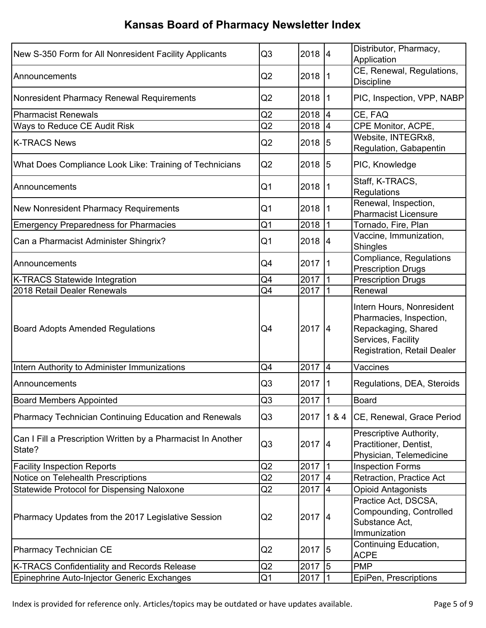| New S-350 Form for All Nonresident Facility Applicants                 | Q <sub>3</sub> | 2018 4    |     | Distributor, Pharmacy,<br>Application                                                                                                   |
|------------------------------------------------------------------------|----------------|-----------|-----|-----------------------------------------------------------------------------------------------------------------------------------------|
| Announcements                                                          | Q2             | 2018 1    |     | CE, Renewal, Regulations,<br><b>Discipline</b>                                                                                          |
| Nonresident Pharmacy Renewal Requirements                              | Q2             | $2018$  1 |     | PIC, Inspection, VPP, NABP                                                                                                              |
| <b>Pharmacist Renewals</b>                                             | Q <sub>2</sub> | 2018      | 14  | CE, FAQ                                                                                                                                 |
| Ways to Reduce CE Audit Risk                                           | Q <sub>2</sub> | 2018      |     | CPE Monitor, ACPE,                                                                                                                      |
| <b>K-TRACS News</b>                                                    | Q2             | 2018 5    |     | Website, INTEGRx8,<br>Regulation, Gabapentin                                                                                            |
| What Does Compliance Look Like: Training of Technicians                | Q <sub>2</sub> | $2018$ 5  |     | PIC, Knowledge                                                                                                                          |
| Announcements                                                          | Q <sub>1</sub> | 2018      |     | Staff, K-TRACS,<br>Regulations                                                                                                          |
| <b>New Nonresident Pharmacy Requirements</b>                           | Q1             | 2018 1    |     | Renewal, Inspection,<br><b>Pharmacist Licensure</b>                                                                                     |
| <b>Emergency Preparedness for Pharmacies</b>                           | Q <sub>1</sub> | 2018      |     | Tornado, Fire, Plan                                                                                                                     |
| Can a Pharmacist Administer Shingrix?                                  | Q <sub>1</sub> | $2018$ 4  |     | Vaccine, Immunization,<br><b>Shingles</b>                                                                                               |
| Announcements                                                          | Q4             | 2017 1    |     | Compliance, Regulations<br><b>Prescription Drugs</b>                                                                                    |
| <b>K-TRACS Statewide Integration</b>                                   | Q4             | 2017      |     | <b>Prescription Drugs</b>                                                                                                               |
| 2018 Retail Dealer Renewals                                            | Q4             | 2017      |     | Renewal                                                                                                                                 |
| <b>Board Adopts Amended Regulations</b>                                | Q4             | 2017 4    |     | Intern Hours, Nonresident<br>Pharmacies, Inspection,<br>Repackaging, Shared<br>Services, Facility<br><b>Registration, Retail Dealer</b> |
| Intern Authority to Administer Immunizations                           | Q4             | $2017$ 4  |     | Vaccines                                                                                                                                |
| Announcements                                                          | Q3             | 2017      |     | Regulations, DEA, Steroids                                                                                                              |
| <b>Board Members Appointed</b>                                         | Q3             | 2017      | 11  | <b>Board</b>                                                                                                                            |
| Pharmacy Technician Continuing Education and Renewals                  | Q <sub>3</sub> | 2017      | 184 | CE, Renewal, Grace Period                                                                                                               |
| Can I Fill a Prescription Written by a Pharmacist In Another<br>State? | Q <sub>3</sub> | 2017 4    |     | Prescriptive Authority,<br>Practitioner, Dentist,<br>Physician, Telemedicine                                                            |
| <b>Facility Inspection Reports</b>                                     | Q <sub>2</sub> | 2017 1    |     | <b>Inspection Forms</b>                                                                                                                 |
| Notice on Telehealth Prescriptions                                     | Q <sub>2</sub> | 2017 4    |     | Retraction, Practice Act                                                                                                                |
| Statewide Protocol for Dispensing Naloxone                             | Q2             | 2017 4    |     | <b>Opioid Antagonists</b>                                                                                                               |
| Pharmacy Updates from the 2017 Legislative Session                     | Q <sub>2</sub> | 2017 4    |     | Practice Act, DSCSA,<br>Compounding, Controlled<br>Substance Act,<br>Immunization                                                       |
| <b>Pharmacy Technician CE</b>                                          | Q2             | 2017 5    |     | Continuing Education,<br><b>ACPE</b>                                                                                                    |
| K-TRACS Confidentiality and Records Release                            | Q2             | 2017 5    |     | <b>PMP</b>                                                                                                                              |
| Epinephrine Auto-Injector Generic Exchanges                            | Q <sub>1</sub> | 2017 1    |     | EpiPen, Prescriptions                                                                                                                   |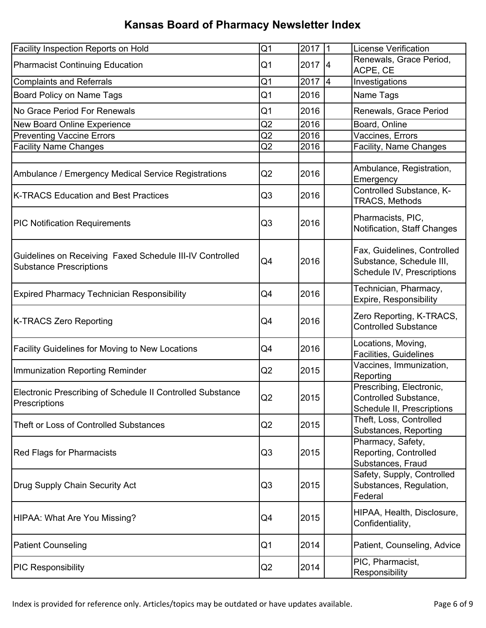| <b>Facility Inspection Reports on Hold</b>                                                 | Q <sub>1</sub> | 2017 1   | <b>License Verification</b>                                                           |
|--------------------------------------------------------------------------------------------|----------------|----------|---------------------------------------------------------------------------------------|
| <b>Pharmacist Continuing Education</b>                                                     | Q1             | $2017$ 4 | Renewals, Grace Period,<br>ACPE, CE                                                   |
| <b>Complaints and Referrals</b>                                                            | Q1             | 2017 4   | Investigations                                                                        |
| Board Policy on Name Tags                                                                  | Q1             | 2016     | Name Tags                                                                             |
| No Grace Period For Renewals                                                               | Q1             | 2016     | Renewals, Grace Period                                                                |
| New Board Online Experience                                                                | Q2             | 2016     | Board, Online                                                                         |
| <b>Preventing Vaccine Errors</b>                                                           | Q2             | 2016     | Vaccines, Errors                                                                      |
| <b>Facility Name Changes</b>                                                               | Q2             | 2016     | Facility, Name Changes                                                                |
|                                                                                            |                |          |                                                                                       |
| Ambulance / Emergency Medical Service Registrations                                        | Q <sub>2</sub> | 2016     | Ambulance, Registration,<br>Emergency                                                 |
| <b>K-TRACS Education and Best Practices</b>                                                | Q <sub>3</sub> | 2016     | Controlled Substance, K-<br>TRACS, Methods                                            |
| <b>PIC Notification Requirements</b>                                                       | Q <sub>3</sub> | 2016     | Pharmacists, PIC,<br>Notification, Staff Changes                                      |
| Guidelines on Receiving Faxed Schedule III-IV Controlled<br><b>Substance Prescriptions</b> | Q4             | 2016     | Fax, Guidelines, Controlled<br>Substance, Schedule III,<br>Schedule IV, Prescriptions |
| <b>Expired Pharmacy Technician Responsibility</b>                                          | Q4             | 2016     | Technician, Pharmacy,<br>Expire, Responsibility                                       |
| K-TRACS Zero Reporting                                                                     | Q4             | 2016     | Zero Reporting, K-TRACS,<br><b>Controlled Substance</b>                               |
| <b>Facility Guidelines for Moving to New Locations</b>                                     | Q4             | 2016     | Locations, Moving,<br>Facilities, Guidelines                                          |
| Immunization Reporting Reminder                                                            | Q2             | 2015     | Vaccines, Immunization,<br>Reporting                                                  |
| Electronic Prescribing of Schedule II Controlled Substance<br>Prescriptions                | Q2             | 2015     | Prescribing, Electronic,<br>Controlled Substance,<br>Schedule II, Prescriptions       |
| Theft or Loss of Controlled Substances                                                     | Q2             | 2015     | Theft, Loss, Controlled<br>Substances, Reporting                                      |
| <b>Red Flags for Pharmacists</b>                                                           | Q3             | 2015     | Pharmacy, Safety,<br>Reporting, Controlled<br>Substances, Fraud                       |
| Drug Supply Chain Security Act                                                             | Q <sub>3</sub> | 2015     | Safety, Supply, Controlled<br>Substances, Regulation,<br>Federal                      |
| HIPAA: What Are You Missing?                                                               | Q4             | 2015     | HIPAA, Health, Disclosure,<br>Confidentiality,                                        |
| <b>Patient Counseling</b>                                                                  | Q <sub>1</sub> | 2014     | Patient, Counseling, Advice                                                           |
| <b>PIC Responsibility</b>                                                                  | Q2             | 2014     | PIC, Pharmacist,<br>Responsibility                                                    |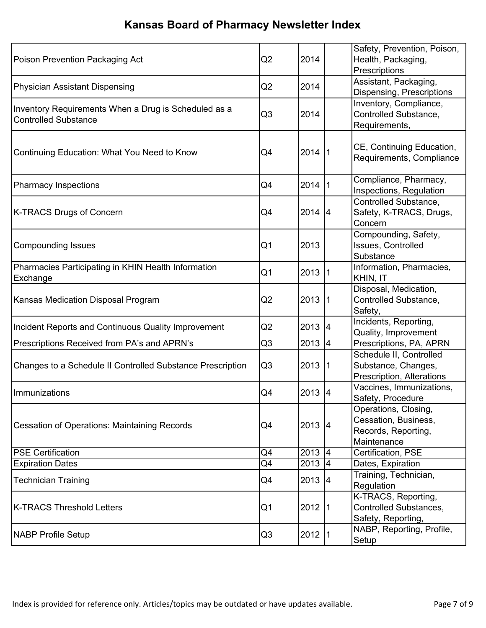| Poison Prevention Packaging Act                                                     | Q <sub>2</sub> | 2014      |    | Safety, Prevention, Poison,<br>Health, Packaging,<br>Prescriptions                 |
|-------------------------------------------------------------------------------------|----------------|-----------|----|------------------------------------------------------------------------------------|
| <b>Physician Assistant Dispensing</b>                                               | Q <sub>2</sub> | 2014      |    | Assistant, Packaging,<br>Dispensing, Prescriptions                                 |
| Inventory Requirements When a Drug is Scheduled as a<br><b>Controlled Substance</b> | Q3             | 2014      |    | Inventory, Compliance,<br>Controlled Substance,<br>Requirements,                   |
| Continuing Education: What You Need to Know                                         | Q4             | 2014  1   |    | CE, Continuing Education,<br>Requirements, Compliance                              |
| <b>Pharmacy Inspections</b>                                                         | Q4             | 2014 1    |    | Compliance, Pharmacy,<br>Inspections, Regulation                                   |
| <b>K-TRACS Drugs of Concern</b>                                                     | Q4             | $2014$ 4  |    | Controlled Substance,<br>Safety, K-TRACS, Drugs,<br>Concern                        |
| <b>Compounding Issues</b>                                                           | Q <sub>1</sub> | 2013      |    | Compounding, Safety,<br>Issues, Controlled<br>Substance                            |
| Pharmacies Participating in KHIN Health Information<br>Exchange                     | Q <sub>1</sub> | 2013 1    |    | Information, Pharmacies,<br>KHIN, IT                                               |
| Kansas Medication Disposal Program                                                  | Q <sub>2</sub> | 2013      | 11 | Disposal, Medication,<br>Controlled Substance,<br>Safety,                          |
| Incident Reports and Continuous Quality Improvement                                 | Q <sub>2</sub> | 2013 4    |    | Incidents, Reporting,<br>Quality, Improvement                                      |
| Prescriptions Received from PA's and APRN's                                         | Q3             | 2013 4    |    | Prescriptions, PA, APRN                                                            |
| Changes to a Schedule II Controlled Substance Prescription                          | Q <sub>3</sub> | 2013      | 11 | Schedule II, Controlled<br>Substance, Changes,<br>Prescription, Alterations        |
| Immunizations                                                                       | Q4             | $2013$ 4  |    | Vaccines, Immunizations,<br>Safety, Procedure                                      |
| <b>Cessation of Operations: Maintaining Records</b>                                 | Q4             | 2013 4    |    | Operations, Closing,<br>Cessation, Business,<br>Records, Reporting,<br>Maintenance |
| <b>PSE Certification</b>                                                            | Q4             | $2013$ 4  |    | Certification, PSE                                                                 |
| <b>Expiration Dates</b>                                                             | Q4             | $2013$ 4  |    | Dates, Expiration                                                                  |
| <b>Technician Training</b>                                                          | Q4             | $2013$ 4  |    | Training, Technician,<br>Regulation                                                |
| <b>K-TRACS Threshold Letters</b>                                                    | Q <sub>1</sub> | 2012      |    | K-TRACS, Reporting,<br>Controlled Substances,<br>Safety, Reporting,                |
| <b>NABP Profile Setup</b>                                                           | Q <sub>3</sub> | $2012$  1 |    | NABP, Reporting, Profile,<br>Setup                                                 |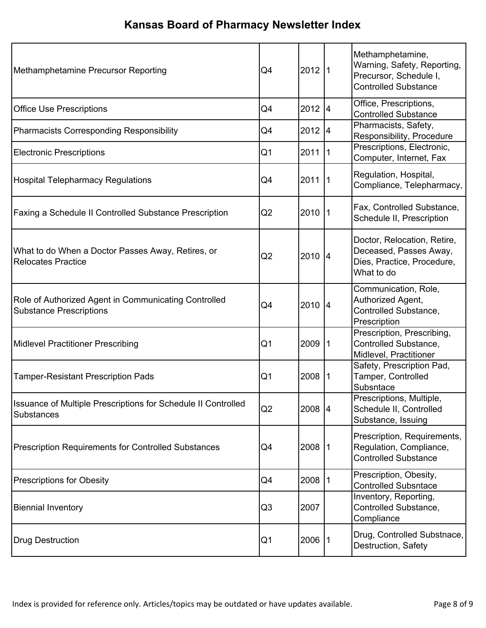| Methamphetamine Precursor Reporting                                                    | Q4             | 2012 1  |     | Methamphetamine,<br>Warning, Safety, Reporting,<br>Precursor, Schedule I,<br><b>Controlled Substance</b> |
|----------------------------------------------------------------------------------------|----------------|---------|-----|----------------------------------------------------------------------------------------------------------|
| <b>Office Use Prescriptions</b>                                                        | Q4             | 2012 4  |     | Office, Prescriptions,<br><b>Controlled Substance</b>                                                    |
| Pharmacists Corresponding Responsibility                                               | Q4             | 2012 4  |     | Pharmacists, Safety,<br>Responsibility, Procedure                                                        |
| <b>Electronic Prescriptions</b>                                                        | Q <sub>1</sub> | 2011    | -11 | Prescriptions, Electronic,<br>Computer, Internet, Fax                                                    |
| <b>Hospital Telepharmacy Regulations</b>                                               | Q4             | 2011    |     | Regulation, Hospital,<br>Compliance, Telepharmacy,                                                       |
| <b>Faxing a Schedule II Controlled Substance Prescription</b>                          | Q2             | 2010    |     | Fax, Controlled Substance,<br>Schedule II, Prescription                                                  |
| What to do When a Doctor Passes Away, Retires, or<br>Relocates Practice                | Q <sub>2</sub> | 2010 4  |     | Doctor, Relocation, Retire,<br>Deceased, Passes Away,<br>Dies, Practice, Procedure,<br>What to do        |
| Role of Authorized Agent in Communicating Controlled<br><b>Substance Prescriptions</b> | Q4             | 2010 4  |     | Communication, Role,<br>Authorized Agent,<br>Controlled Substance,<br>Prescription                       |
| <b>Midlevel Practitioner Prescribing</b>                                               | Q <sub>1</sub> | 2009    |     | Prescription, Prescribing,<br>Controlled Substance,<br>Midlevel, Practitioner                            |
| <b>Tamper-Resistant Prescription Pads</b>                                              | Q <sub>1</sub> | 2008    | 1   | Safety, Prescription Pad,<br>Tamper, Controlled<br>Subsntace                                             |
| Issuance of Multiple Prescriptions for Schedule II Controlled<br><b>Substances</b>     | Q2             | 2008 4  |     | Prescriptions, Multiple,<br>Schedule II, Controlled<br>Substance, Issuing                                |
| <b>Prescription Requirements for Controlled Substances</b>                             | Q4             | 2008  1 |     | Prescription, Requirements,<br>Regulation, Compliance,<br><b>Controlled Substance</b>                    |
| <b>Prescriptions for Obesity</b>                                                       | Q4             | 2008    |     | Prescription, Obesity,<br><b>Controlled Subsntace</b>                                                    |
| <b>Biennial Inventory</b>                                                              | Q3             | 2007    |     | Inventory, Reporting,<br>Controlled Substance,<br>Compliance                                             |
| <b>Drug Destruction</b>                                                                | Q <sub>1</sub> | 2006    |     | Drug, Controlled Substnace,<br>Destruction, Safety                                                       |